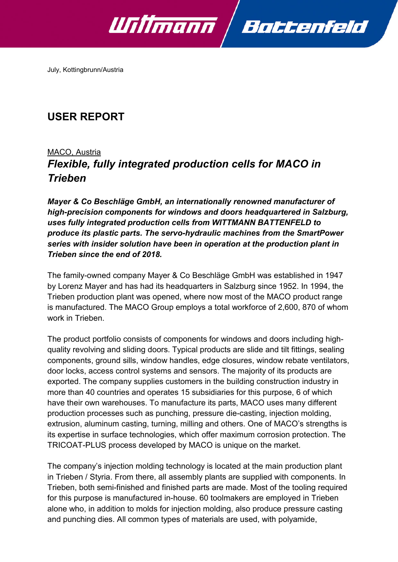

July, Kottingbrunn/Austria

# **USER REPORT**

# MACO, Austria *Flexible, fully integrated production cells for MACO in Trieben*

*Mayer & Co Beschläge GmbH, an internationally renowned manufacturer of high-precision components for windows and doors headquartered in Salzburg, uses fully integrated production cells from WITTMANN BATTENFELD to produce its plastic parts. The servo-hydraulic machines from the SmartPower series with insider solution have been in operation at the production plant in Trieben since the end of 2018.*

The family-owned company Mayer & Co Beschläge GmbH was established in 1947 by Lorenz Mayer and has had its headquarters in Salzburg since 1952. In 1994, the Trieben production plant was opened, where now most of the MACO product range is manufactured. The MACO Group employs a total workforce of 2,600, 870 of whom work in Trieben.

The product portfolio consists of components for windows and doors including highquality revolving and sliding doors. Typical products are slide and tilt fittings, sealing components, ground sills, window handles, edge closures, window rebate ventilators, door locks, access control systems and sensors. The majority of its products are exported. The company supplies customers in the building construction industry in more than 40 countries and operates 15 subsidiaries for this purpose, 6 of which have their own warehouses. To manufacture its parts, MACO uses many different production processes such as punching, pressure die-casting, injection molding, extrusion, aluminum casting, turning, milling and others. One of MACO's strengths is its expertise in surface technologies, which offer maximum corrosion protection. The TRICOAT-PLUS process developed by MACO is unique on the market.

The company's injection molding technology is located at the main production plant in Trieben / Styria. From there, all assembly plants are supplied with components. In Trieben, both semi-finished and finished parts are made. Most of the tooling required for this purpose is manufactured in-house. 60 toolmakers are employed in Trieben alone who, in addition to molds for injection molding, also produce pressure casting and punching dies. All common types of materials are used, with polyamide,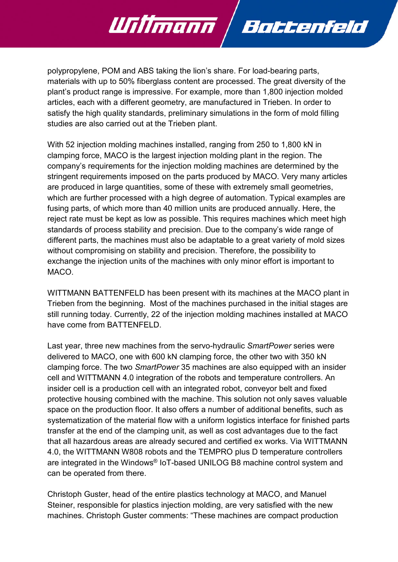polypropylene, POM and ABS taking the lion's share. For load-bearing parts, materials with up to 50% fiberglass content are processed. The great diversity of the plant's product range is impressive. For example, more than 1,800 injection molded articles, each with a different geometry, are manufactured in Trieben. In order to satisfy the high quality standards, preliminary simulations in the form of mold filling studies are also carried out at the Trieben plant.

Battenfeld

Willmann

With 52 injection molding machines installed, ranging from 250 to 1,800 kN in clamping force, MACO is the largest injection molding plant in the region. The company's requirements for the injection molding machines are determined by the stringent requirements imposed on the parts produced by MACO. Very many articles are produced in large quantities, some of these with extremely small geometries, which are further processed with a high degree of automation. Typical examples are fusing parts, of which more than 40 million units are produced annually. Here, the reject rate must be kept as low as possible. This requires machines which meet high standards of process stability and precision. Due to the company's wide range of different parts, the machines must also be adaptable to a great variety of mold sizes without compromising on stability and precision. Therefore, the possibility to exchange the injection units of the machines with only minor effort is important to MACO.

WITTMANN BATTENFELD has been present with its machines at the MACO plant in Trieben from the beginning. Most of the machines purchased in the initial stages are still running today. Currently, 22 of the injection molding machines installed at MACO have come from BATTENFELD.

Last year, three new machines from the servo-hydraulic *SmartPower* series were delivered to MACO, one with 600 kN clamping force, the other two with 350 kN clamping force. The two *SmartPower* 35 machines are also equipped with an insider cell and WITTMANN 4.0 integration of the robots and temperature controllers. An insider cell is a production cell with an integrated robot, conveyor belt and fixed protective housing combined with the machine. This solution not only saves valuable space on the production floor. It also offers a number of additional benefits, such as systematization of the material flow with a uniform logistics interface for finished parts transfer at the end of the clamping unit, as well as cost advantages due to the fact that all hazardous areas are already secured and certified ex works. Via WITTMANN 4.0, the WITTMANN W808 robots and the TEMPRO plus D temperature controllers are integrated in the Windows® IoT-based UNILOG B8 machine control system and can be operated from there.

Christoph Guster, head of the entire plastics technology at MACO, and Manuel Steiner, responsible for plastics injection molding, are very satisfied with the new machines. Christoph Guster comments: "These machines are compact production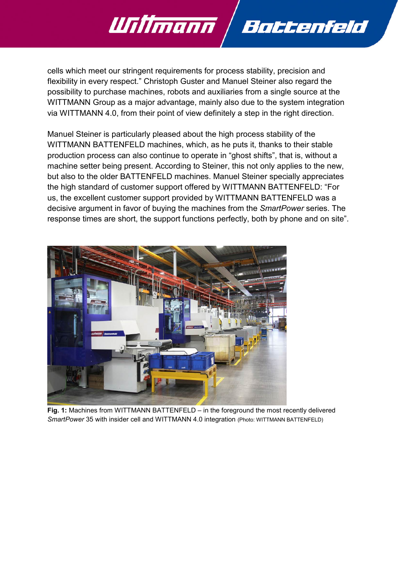cells which meet our stringent requirements for process stability, precision and flexibility in every respect." Christoph Guster and Manuel Steiner also regard the possibility to purchase machines, robots and auxiliaries from a single source at the WITTMANN Group as a major advantage, mainly also due to the system integration via WITTMANN 4.0, from their point of view definitely a step in the right direction.

Battenfeld

Willmann /

Manuel Steiner is particularly pleased about the high process stability of the WITTMANN BATTENFELD machines, which, as he puts it, thanks to their stable production process can also continue to operate in "ghost shifts", that is, without a machine setter being present. According to Steiner, this not only applies to the new, but also to the older BATTENFELD machines. Manuel Steiner specially appreciates the high standard of customer support offered by WITTMANN BATTENFELD: "For us, the excellent customer support provided by WITTMANN BATTENFELD was a decisive argument in favor of buying the machines from the *SmartPower* series. The response times are short, the support functions perfectly, both by phone and on site".



**Fig. 1:** Machines from WITTMANN BATTENFELD – in the foreground the most recently delivered *SmartPower* 35 with insider cell and WITTMANN 4.0 integration (Photo: WITTMANN BATTENFELD)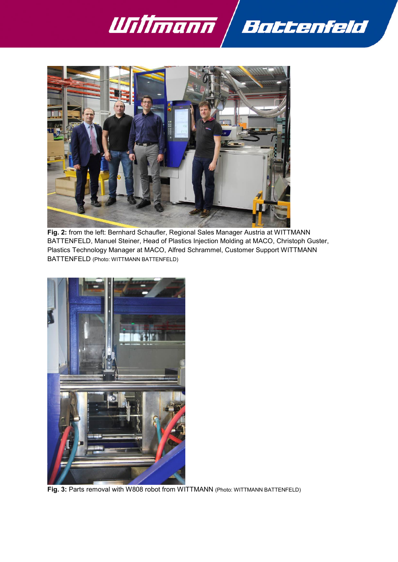



**Fig. 2:** from the left: Bernhard Schaufler, Regional Sales Manager Austria at WITTMANN BATTENFELD, Manuel Steiner, Head of Plastics Injection Molding at MACO, Christoph Guster, Plastics Technology Manager at MACO, Alfred Schrammel, Customer Support WITTMANN BATTENFELD (Photo: WITTMANN BATTENFELD)



**Fig. 3:** Parts removal with W808 robot from WITTMANN (Photo: WITTMANN BATTENFELD)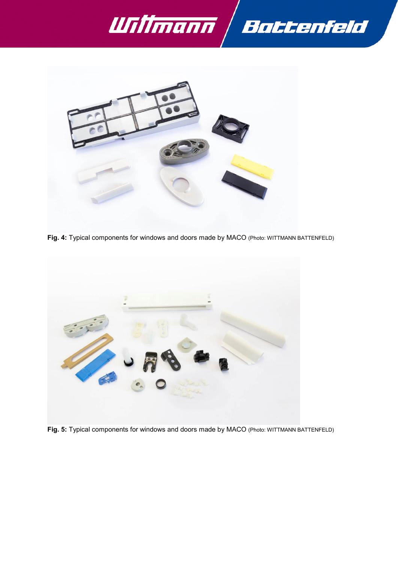



**Fig. 4:** Typical components for windows and doors made by MACO (Photo: WITTMANN BATTENFELD)



**Fig. 5:** Typical components for windows and doors made by MACO (Photo: WITTMANN BATTENFELD)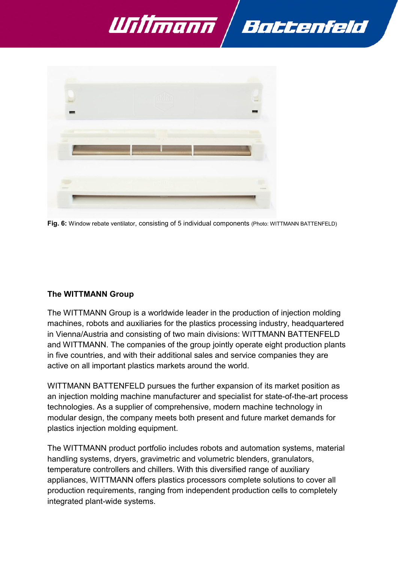



**Fig. 6:** Window rebate ventilator, consisting of 5 individual components (Photo: WITTMANN BATTENFELD)

## **The WITTMANN Group**

The WITTMANN Group is a worldwide leader in the production of injection molding machines, robots and auxiliaries for the plastics processing industry, headquartered in Vienna/Austria and consisting of two main divisions: WITTMANN BATTENFELD and WITTMANN. The companies of the group jointly operate eight production plants in five countries, and with their additional sales and service companies they are active on all important plastics markets around the world.

WITTMANN BATTENFELD pursues the further expansion of its market position as an injection molding machine manufacturer and specialist for state-of-the-art process technologies. As a supplier of comprehensive, modern machine technology in modular design, the company meets both present and future market demands for plastics injection molding equipment.

The WITTMANN product portfolio includes robots and automation systems, material handling systems, dryers, gravimetric and volumetric blenders, granulators, temperature controllers and chillers. With this diversified range of auxiliary appliances, WITTMANN offers plastics processors complete solutions to cover all production requirements, ranging from independent production cells to completely integrated plant-wide systems.